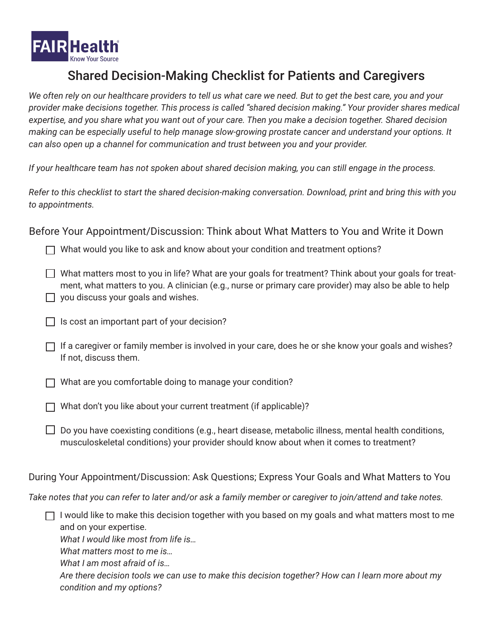

## Shared Decision-Making Checklist for Patients and Caregivers

*We often rely on our healthcare providers to tell us what care we need. But to get the best care, you and your provider make decisions together. This process is called "shared decision making." Your provider shares medical expertise, and you share what you want out of your care. Then you make a decision together. Shared decision making can be especially useful to help manage slow-growing prostate cancer and understand your options. It can also open up a channel for communication and trust between you and your provider.* 

*If your healthcare team has not spoken about shared decision making, you can still engage in the process.*

*Refer to this checklist to start the shared decision-making conversation. Download, print and bring this with you to appointments.*

Before Your Appointment/Discussion: Think about What Matters to You and Write it Down

 $\Box$  What would you like to ask and know about your condition and treatment options?

 $\Box$  What matters most to you in life? What are your goals for treatment? Think about your goals for treatment, what matters to you. A clinician (e.g., nurse or primary care provider) may also be able to help  $\Box$  you discuss your goals and wishes.

- $\Box$  Is cost an important part of your decision?
- $\Box$  If a caregiver or family member is involved in your care, does he or she know your goals and wishes? If not, discuss them.

 $\Box$  What are you comfortable doing to manage your condition?

 $\Box$  What don't you like about your current treatment (if applicable)?

 $\Box$  Do you have coexisting conditions (e.g., heart disease, metabolic illness, mental health conditions, musculoskeletal conditions) your provider should know about when it comes to treatment?

During Your Appointment/Discussion: Ask Questions; Express Your Goals and What Matters to You

*Take notes that you can refer to later and/or ask a family member or caregiver to join/attend and take notes.* 

 $\Box$  I would like to make this decision together with you based on my goals and what matters most to me and on your expertise.

*What I would like most from life is…*

*What matters most to me is…*

*What I am most afraid of is…*

*Are there decision tools we can use to make this decision together? How can I learn more about my condition and my options?*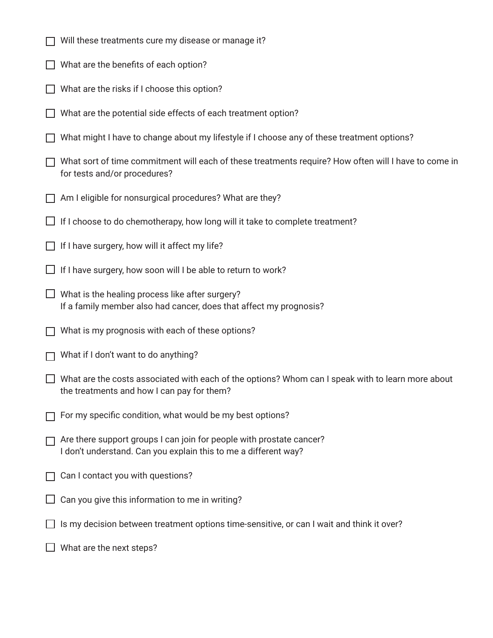- $\Box$  Will these treatments cure my disease or manage it?
- $\Box$  What are the benefits of each option?
- $\Box$  What are the risks if I choose this option?
- $\Box$  What are the potential side effects of each treatment option?
- $\Box$  What might I have to change about my lifestyle if I choose any of these treatment options?
- $\Box$  What sort of time commitment will each of these treatments require? How often will I have to come in for tests and/or procedures?
- $\Box$  Am I eligible for nonsurgical procedures? What are they?
- $\Box$  If I choose to do chemotherapy, how long will it take to complete treatment?
- $\Box$  If I have surgery, how will it affect my life?
- $\Box$  If I have surgery, how soon will I be able to return to work?
- $\Box$  What is the healing process like after surgery? If a family member also had cancer, does that affect my prognosis?
- $\Box$  What is my prognosis with each of these options?
- $\Box$  What if I don't want to do anything?
- $\Box$  What are the costs associated with each of the options? Whom can I speak with to learn more about the treatments and how I can pay for them?
- $\Box$  For my specific condition, what would be my best options?
- $\Box$  Are there support groups I can join for people with prostate cancer? I don't understand. Can you explain this to me a different way?
- $\Box$  Can I contact you with questions?
- $\Box$  Can you give this information to me in writing?
- $\Box$  Is my decision between treatment options time-sensitive, or can I wait and think it over?
- $\Box$  What are the next steps?